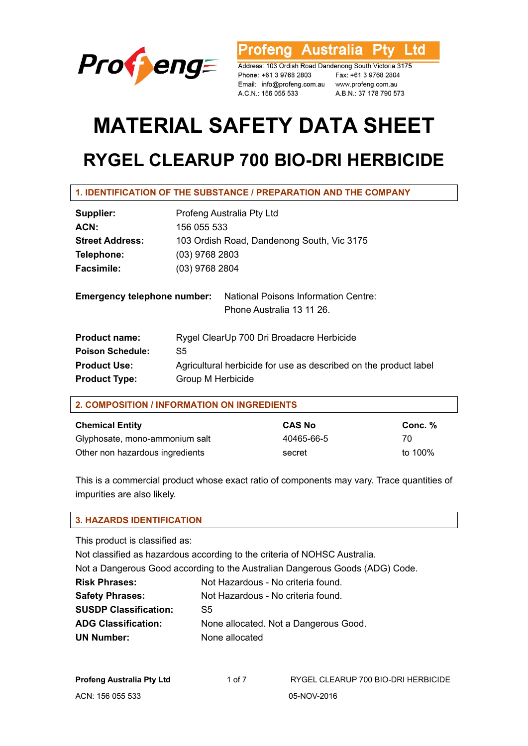

rofeng Australia l td

Address: 103 Ordish Road Dandenong South Victoria 3175 Phone: +61 3 9768 2803 Fax: +61 3 9768 2804 Email: info@profeng.com.au www.profeng.com.au A.C.N.: 156 055 533

A.B.N.: 37 178 790 573

# **MATERIAL SAFETY DATA SHEET**

## **RYGEL CLEARUP 700 BIO-DRI HERBICIDE**

### **1. IDENTIFICATION OF THE SUBSTANCE / PREPARATION AND THE COMPANY**

| Supplier:                          | Profeng Australia Pty Ltd                                                |  |  |
|------------------------------------|--------------------------------------------------------------------------|--|--|
| ACN:                               | 156 055 533                                                              |  |  |
| <b>Street Address:</b>             | 103 Ordish Road, Dandenong South, Vic 3175                               |  |  |
| Telephone:                         | $(03)$ 9768 2803                                                         |  |  |
| <b>Facsimile:</b>                  | (03) 9768 2804                                                           |  |  |
| <b>Emergency telephone number:</b> | <b>National Poisons Information Centre:</b><br>Phone Australia 13 11 26. |  |  |
| <b>Product name:</b>               | Rygel ClearUp 700 Dri Broadacre Herbicide                                |  |  |
| <b>Poison Schedule:</b>            | S <sub>5</sub>                                                           |  |  |
| <b>Product Use:</b>                | Agricultural herbicide for use as described on the product label         |  |  |
| <b>Product Type:</b>               | Group M Herbicide                                                        |  |  |

| 2. COMPOSITION / INFORMATION ON INGREDIENTS |               |         |  |  |
|---------------------------------------------|---------------|---------|--|--|
| <b>Chemical Entity</b>                      | <b>CAS No</b> | Conc. % |  |  |
| Glyphosate, mono-ammonium salt              | 40465-66-5    | 70      |  |  |

Other non hazardous ingredients secret secret to 100%

This is a commercial product whose exact ratio of components may vary. Trace quantities of impurities are also likely.

#### **3. HAZARDS IDENTIFICATION**

This product is classified as:

Not classified as hazardous according to the criteria of NOHSC Australia.

Not a Dangerous Good according to the Australian Dangerous Goods (ADG) Code.

**Risk Phrases:** Not Hazardous - No criteria found. Safety Phrases: Not Hazardous - No criteria found. **SUSDP Classification:** S5 **ADG Classification:** None allocated. Not a Dangerous Good. **UN Number:** None allocated

| Profeng Australia Pty Ltd | 1 of 7 | RYGEL CLEARUP 700 BIO-DRI HERBICIDE |
|---------------------------|--------|-------------------------------------|
| ACN: 156 055 533          |        | 05-NOV-2016                         |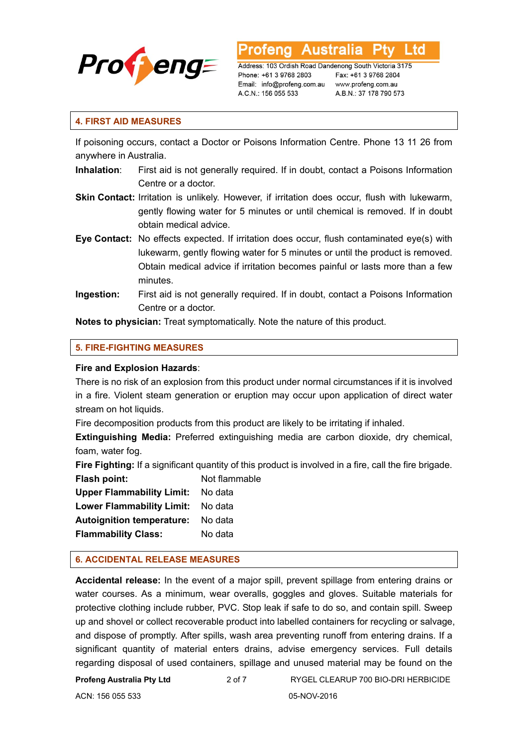

Australia L td

Address: 103 Ordish Road Dandenong South Victoria 3175 Phone: +61 3 9768 2803 Email: info@profeng.com.au A.C.N.: 156 055 533

Fax: +61 3 9768 2804 www.profeng.com.au A.B.N.: 37 178 790 573

#### **4. FIRST AID MEASURES**

If poisoning occurs, contact a Doctor or Poisons Information Centre. Phone 13 11 26 from anywhere in Australia.

- **Inhalation**: First aid is not generally required. If in doubt, contact a Poisons Information Centre or a doctor.
- **Skin Contact:** Irritation is unlikely. However, if irritation does occur, flush with lukewarm, gently flowing water for 5 minutes or until chemical is removed. If in doubt obtain medical advice.
- **Eye Contact:** No effects expected. If irritation does occur, flush contaminated eye(s) with lukewarm, gently flowing water for 5 minutes or until the product is removed. Obtain medical advice if irritation becomes painful or lasts more than a few minutes.
- **Ingestion:** First aid is not generally required. If in doubt, contact a Poisons Information Centre or a doctor.

**Notes to physician:** Treat symptomatically. Note the nature of this product.

#### **5. FIRE-FIGHTING MEASURES**

#### **Fire and Explosion Hazards**:

There is no risk of an explosion from this product under normal circumstances if it is involved in a fire. Violent steam generation or eruption may occur upon application of direct water stream on hot liquids.

Fire decomposition products from this product are likely to be irritating if inhaled.

**Extinguishing Media:** Preferred extinguishing media are carbon dioxide, dry chemical, foam, water fog.

**Fire Fighting:** If a significant quantity of this product is involved in a fire, call the fire brigade. **Flash point:** Not flammable

**Upper Flammability Limit:** No data **Lower Flammability Limit:** No data **Autoignition temperature:** No data **Flammability Class:** No data

#### **6. ACCIDENTAL RELEASE MEASURES**

**Accidental release:** In the event of a major spill, prevent spillage from entering drains or water courses. As a minimum, wear overalls, goggles and gloves. Suitable materials for protective clothing include rubber, PVC. Stop leak if safe to do so, and contain spill. Sweep up and shovel or collect recoverable product into labelled containers for recycling or salvage, and dispose of promptly. After spills, wash area preventing runoff from entering drains. If a significant quantity of material enters drains, advise emergency services. Full details regarding disposal of used containers, spillage and unused material may be found on the

**Profeng Australia Pty Ltd** 2 of 7 RYGEL CLEARUP 700 BIO-DRI HERBICIDE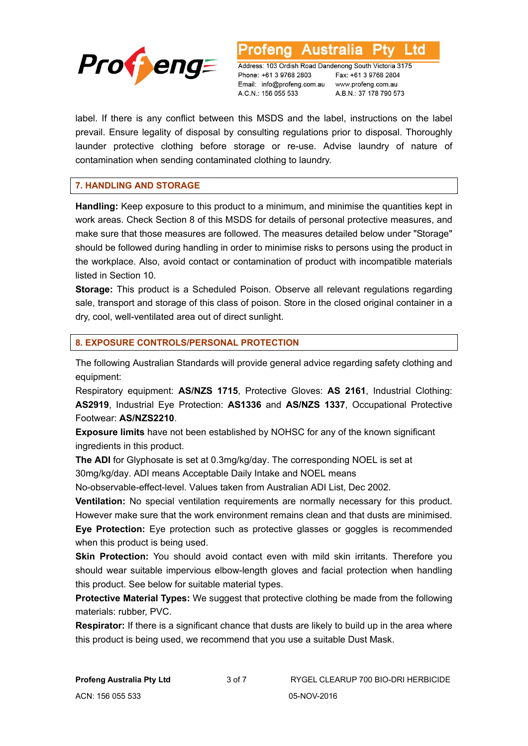

L td **Australia** 

Address: 103 Ordish Road Dandenong South Victoria 3175 Phone: +61 3 9768 2803 Email: info@profeng.com.au A.C.N.: 156 055 533

Fax: +61 3 9768 2804 www.profeng.com.au A.B.N.: 37 178 790 573

label. If there is any conflict between this MSDS and the label, instructions on the label prevail. Ensure legality of disposal by consulting regulations prior to disposal. Thoroughly launder protective clothing before storage or re-use. Advise laundry of nature of contamination when sending contaminated clothing to laundry.

#### **7. HANDLING AND STORAGE**

**Handling:** Keep exposure to this product to a minimum, and minimise the quantities kept in work areas. Check Section 8 of this MSDS for details of personal protective measures, and make sure that those measures are followed. The measures detailed below under "Storage" should be followed during handling in order to minimise risks to persons using the product in the workplace. Also, avoid contact or contamination of product with incompatible materials listed in Section 10.

**Storage:** This product is a Scheduled Poison. Observe all relevant regulations regarding sale, transport and storage of this class of poison. Store in the closed original container in a dry, cool, well-ventilated area out of direct sunlight.

#### **8. EXPOSURE CONTROLS/PERSONAL PROTECTION**

The following Australian Standards will provide general advice regarding safety clothing and equipment:

Respiratory equipment: **AS/NZS 1715**, Protective Gloves: **AS 2161**, Industrial Clothing: **AS2919**, Industrial Eye Protection: **AS1336** and **AS/NZS 1337**, Occupational Protective Footwear: **AS/NZS2210**.

**Exposure limits** have not been established by NOHSC for any of the known significant ingredients in this product.

**The ADI** for Glyphosate is set at 0.3mg/kg/day. The corresponding NOEL is set at 30mg/kg/day. ADI means Acceptable Daily Intake and NOEL means

No-observable-effect-level. Values taken from Australian ADI List, Dec 2002.

**Ventilation:** No special ventilation requirements are normally necessary for this product. However make sure that the work environment remains clean and that dusts are minimised. **Eye Protection:** Eye protection such as protective glasses or goggles is recommended when this product is being used.

**Skin Protection:** You should avoid contact even with mild skin irritants. Therefore you should wear suitable impervious elbow-length gloves and facial protection when handling this product. See below for suitable material types.

**Protective Material Types:** We suggest that protective clothing be made from the following materials: rubber, PVC.

**Respirator:** If there is a significant chance that dusts are likely to build up in the area where this product is being used, we recommend that you use a suitable Dust Mask.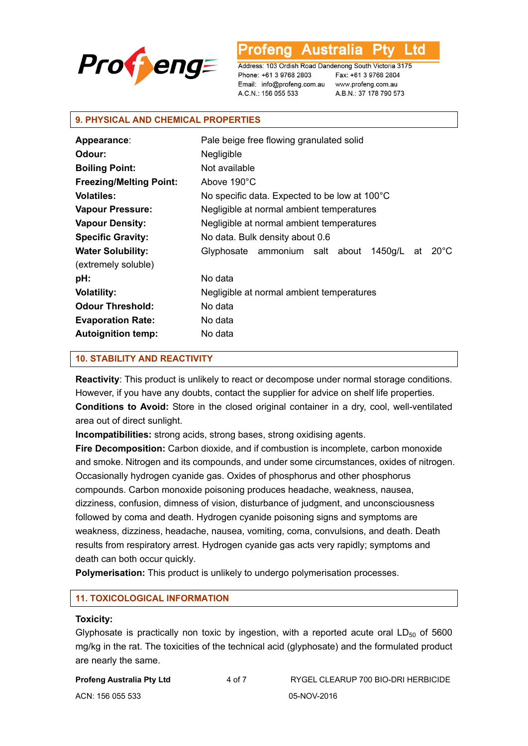

Ltd

Address: 103 Ordish Road Dandenong South Victoria 3175 Phone: +61 3 9768 2803 Email: info@profeng.com.au A.C.N.: 156 055 533

Fax: +61 3 9768 2804 www.profeng.com.au A.B.N.: 37 178 790 573

#### **9. PHYSICAL AND CHEMICAL PROPERTIES**

| Appearance:                    | Pale beige free flowing granulated solid                          |  |
|--------------------------------|-------------------------------------------------------------------|--|
| Odour:                         | Negligible                                                        |  |
| <b>Boiling Point:</b>          | Not available                                                     |  |
| <b>Freezing/Melting Point:</b> | Above 190°C                                                       |  |
| <b>Volatiles:</b>              | No specific data. Expected to be low at 100°C                     |  |
| <b>Vapour Pressure:</b>        | Negligible at normal ambient temperatures                         |  |
| <b>Vapour Density:</b>         | Negligible at normal ambient temperatures                         |  |
| <b>Specific Gravity:</b>       | No data. Bulk density about 0.6                                   |  |
| <b>Water Solubility:</b>       | $20^{\circ}$ C<br>1450g/L<br>Glyphosate ammonium salt about<br>at |  |
| (extremely soluble)            |                                                                   |  |
| pH:                            | No data                                                           |  |
| <b>Volatility:</b>             | Negligible at normal ambient temperatures                         |  |
| <b>Odour Threshold:</b>        | No data                                                           |  |
| <b>Evaporation Rate:</b>       | No data                                                           |  |
| <b>Autoignition temp:</b>      | No data                                                           |  |

#### **10. STABILITY AND REACTIVITY**

**Reactivity**: This product is unlikely to react or decompose under normal storage conditions. However, if you have any doubts, contact the supplier for advice on shelf life properties. **Conditions to Avoid:** Store in the closed original container in a dry, cool, well-ventilated area out of direct sunlight.

**Incompatibilities:** strong acids, strong bases, strong oxidising agents.

**Fire Decomposition:** Carbon dioxide, and if combustion is incomplete, carbon monoxide and smoke. Nitrogen and its compounds, and under some circumstances, oxides of nitrogen. Occasionally hydrogen cyanide gas. Oxides of phosphorus and other phosphorus compounds. Carbon monoxide poisoning produces headache, weakness, nausea, dizziness, confusion, dimness of vision, disturbance of judgment, and unconsciousness followed by coma and death. Hydrogen cyanide poisoning signs and symptoms are weakness, dizziness, headache, nausea, vomiting, coma, convulsions, and death. Death results from respiratory arrest. Hydrogen cyanide gas acts very rapidly; symptoms and death can both occur quickly.

**Polymerisation:** This product is unlikely to undergo polymerisation processes.

#### **11. TOXICOLOGICAL INFORMATION**

#### **Toxicity:**

Glyphosate is practically non toxic by ingestion, with a reported acute oral  $LD_{50}$  of 5600 mg/kg in the rat. The toxicities of the technical acid (glyphosate) and the formulated product are nearly the same.

**Profeng Australia Pty Ltd** 4 of 7 RYGEL CLEARUP 700 BIO-DRI HERBICIDE

ACN: 156 055 533 05-NOV-2016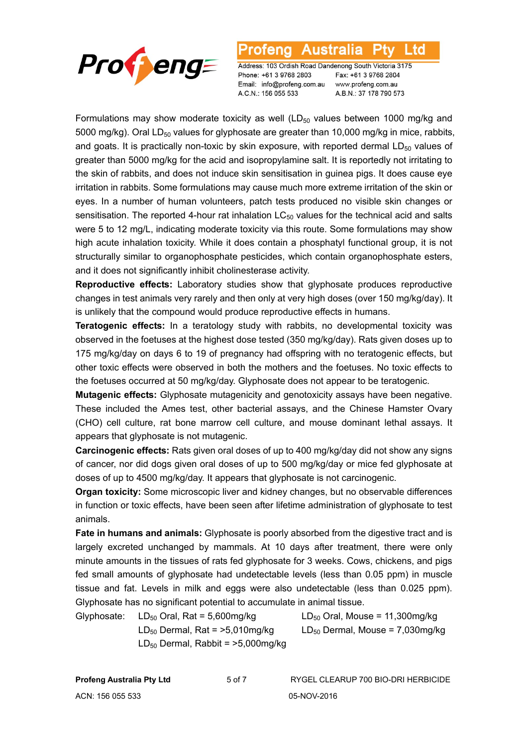

#### Australia l td

Address: 103 Ordish Road Dandenong South Victoria 3175 Phone: +61 3 9768 2803 Email: info@profeng.com.au A.C.N.: 156 055 533

Fax: +61 3 9768 2804 www.profeng.com.au A.B.N.: 37 178 790 573

Formulations may show moderate toxicity as well  $(LD_{50}$  values between 1000 mg/kg and 5000 mg/kg). Oral LD<sub>50</sub> values for glyphosate are greater than 10,000 mg/kg in mice, rabbits, and goats. It is practically non-toxic by skin exposure, with reported dermal  $LD_{50}$  values of greater than 5000 mg/kg for the acid and isopropylamine salt. It is reportedly not irritating to the skin of rabbits, and does not induce skin sensitisation in guinea pigs. It does cause eye irritation in rabbits. Some formulations may cause much more extreme irritation of the skin or eyes. In a number of human volunteers, patch tests produced no visible skin changes or sensitisation. The reported 4-hour rat inhalation  $LC_{50}$  values for the technical acid and salts were 5 to 12 mg/L, indicating moderate toxicity via this route. Some formulations may show high acute inhalation toxicity. While it does contain a phosphatyl functional group, it is not structurally similar to organophosphate pesticides, which contain organophosphate esters, and it does not significantly inhibit cholinesterase activity.

**Reproductive effects:** Laboratory studies show that glyphosate produces reproductive changes in test animals very rarely and then only at very high doses (over 150 mg/kg/day). It is unlikely that the compound would produce reproductive effects in humans.

**Teratogenic effects:** In a teratology study with rabbits, no developmental toxicity was observed in the foetuses at the highest dose tested (350 mg/kg/day). Rats given doses up to 175 mg/kg/day on days 6 to 19 of pregnancy had offspring with no teratogenic effects, but other toxic effects were observed in both the mothers and the foetuses. No toxic effects to the foetuses occurred at 50 mg/kg/day. Glyphosate does not appear to be teratogenic.

**Mutagenic effects:** Glyphosate mutagenicity and genotoxicity assays have been negative. These included the Ames test, other bacterial assays, and the Chinese Hamster Ovary (CHO) cell culture, rat bone marrow cell culture, and mouse dominant lethal assays. It appears that glyphosate is not mutagenic.

**Carcinogenic effects:** Rats given oral doses of up to 400 mg/kg/day did not show any signs of cancer, nor did dogs given oral doses of up to 500 mg/kg/day or mice fed glyphosate at doses of up to 4500 mg/kg/day. It appears that glyphosate is not carcinogenic.

**Organ toxicity:** Some microscopic liver and kidney changes, but no observable differences in function or toxic effects, have been seen after lifetime administration of glyphosate to test animals.

**Fate in humans and animals:** Glyphosate is poorly absorbed from the digestive tract and is largely excreted unchanged by mammals. At 10 days after treatment, there were only minute amounts in the tissues of rats fed glyphosate for 3 weeks. Cows, chickens, and pigs fed small amounts of glyphosate had undetectable levels (less than 0.05 ppm) in muscle tissue and fat. Levels in milk and eggs were also undetectable (less than 0.025 ppm). Glyphosate has no significant potential to accumulate in animal tissue.

Glyphosate:  $LD_{50}$  Oral, Rat = 5,600mg/kg  $LD_{50}$  Oral, Mouse = 11,300mg/kg  $LD_{50}$  Dermal, Rat = >5,010mg/kg  $LD_{50}$  Dermal, Mouse = 7,030mg/kg  $LD_{50}$  Dermal, Rabbit =  $>5,000$ mg/kg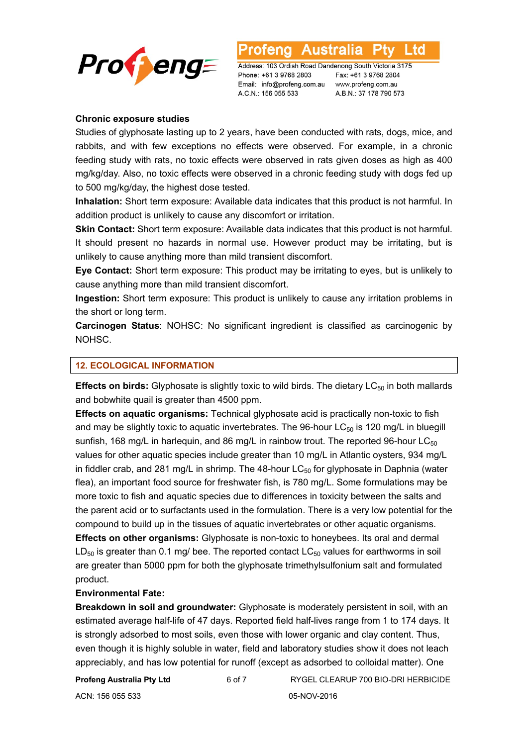

L td

Address: 103 Ordish Road Dandenong South Victoria 3175 Phone: +61 3 9768 2803 Email: info@profeng.com.au A.C.N.: 156 055 533

Fax: +61 3 9768 2804 www.profeng.com.au A.B.N.: 37 178 790 573

#### **Chronic exposure studies**

Studies of glyphosate lasting up to 2 years, have been conducted with rats, dogs, mice, and rabbits, and with few exceptions no effects were observed. For example, in a chronic feeding study with rats, no toxic effects were observed in rats given doses as high as 400 mg/kg/day. Also, no toxic effects were observed in a chronic feeding study with dogs fed up to 500 mg/kg/day, the highest dose tested.

**Inhalation:** Short term exposure: Available data indicates that this product is not harmful. In addition product is unlikely to cause any discomfort or irritation.

**Skin Contact:** Short term exposure: Available data indicates that this product is not harmful. It should present no hazards in normal use. However product may be irritating, but is unlikely to cause anything more than mild transient discomfort.

**Eye Contact:** Short term exposure: This product may be irritating to eyes, but is unlikely to cause anything more than mild transient discomfort.

**Ingestion:** Short term exposure: This product is unlikely to cause any irritation problems in the short or long term.

**Carcinogen Status**: NOHSC: No significant ingredient is classified as carcinogenic by NOHSC.

#### **12. ECOLOGICAL INFORMATION**

**Effects on birds:** Glyphosate is slightly toxic to wild birds. The dietary LC<sub>50</sub> in both mallards and bobwhite quail is greater than 4500 ppm.

**Effects on aquatic organisms:** Technical glyphosate acid is practically non-toxic to fish and may be slightly toxic to aquatic invertebrates. The 96-hour  $LC_{50}$  is 120 mg/L in bluegill sunfish, 168 mg/L in harlequin, and 86 mg/L in rainbow trout. The reported 96-hour  $LC_{50}$ values for other aquatic species include greater than 10 mg/L in Atlantic oysters, 934 mg/L in fiddler crab, and 281 mg/L in shrimp. The 48-hour  $LC_{50}$  for glyphosate in Daphnia (water flea), an important food source for freshwater fish, is 780 mg/L. Some formulations may be more toxic to fish and aquatic species due to differences in toxicity between the salts and the parent acid or to surfactants used in the formulation. There is a very low potential for the compound to build up in the tissues of aquatic invertebrates or other aquatic organisms. **Effects on other organisms:** Glyphosate is non-toxic to honeybees. Its oral and dermal  $LD_{50}$  is greater than 0.1 mg/ bee. The reported contact  $LC_{50}$  values for earthworms in soil are greater than 5000 ppm for both the glyphosate trimethylsulfonium salt and formulated product.

#### **Environmental Fate:**

**Breakdown in soil and groundwater:** Glyphosate is moderately persistent in soil, with an estimated average half-life of 47 days. Reported field half-lives range from 1 to 174 days. It is strongly adsorbed to most soils, even those with lower organic and clay content. Thus, even though it is highly soluble in water, field and laboratory studies show it does not leach appreciably, and has low potential for runoff (except as adsorbed to colloidal matter). One

ACN: 156 055 533 05-NOV-2016